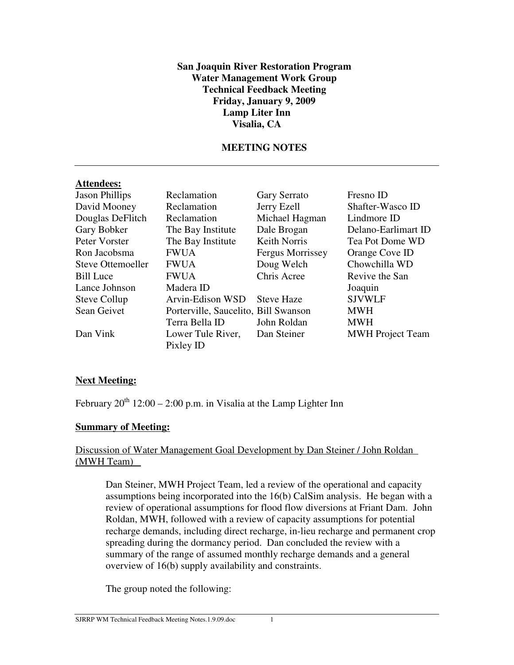### **San Joaquin River Restoration Program Water Management Work Group Technical Feedback Meeting Friday, January 9, 2009 Lamp Liter Inn Visalia, CA**

# **MEETING NOTES**

#### **Attendees:**

| <b>Jason Phillips</b> | Reclamation                          | Gary Serrato            | Fresno ID               |
|-----------------------|--------------------------------------|-------------------------|-------------------------|
| David Mooney          | Reclamation                          | Jerry Ezell             | Shafter-Wasco ID        |
| Douglas DeFlitch      | Reclamation                          | Michael Hagman          | Lindmore ID             |
| Gary Bobker           | The Bay Institute                    | Dale Brogan             | Delano-Earlimart ID     |
| Peter Vorster         | The Bay Institute                    | <b>Keith Norris</b>     | Tea Pot Dome WD         |
| Ron Jacobsma          | <b>FWUA</b>                          | <b>Fergus Morrissey</b> | Orange Cove ID          |
| Steve Ottemoeller     | <b>FWUA</b>                          | Doug Welch              | Chowchilla WD           |
| <b>Bill Luce</b>      | <b>FWUA</b>                          | Chris Acree             | Revive the San          |
| Lance Johnson         | Madera ID                            |                         | Joaquin                 |
| Steve Collup          | Arvin-Edison WSD                     | <b>Steve Haze</b>       | <b>SJVWLF</b>           |
| Sean Geivet           | Porterville, Saucelito, Bill Swanson |                         | <b>MWH</b>              |
|                       | Terra Bella ID                       | John Roldan             | <b>MWH</b>              |
| Dan Vink              | Lower Tule River,                    | Dan Steiner             | <b>MWH</b> Project Team |
|                       | Pixley ID                            |                         |                         |

# **Next Meeting:**

February  $20^{th}$  12:00 – 2:00 p.m. in Visalia at the Lamp Lighter Inn

# **Summary of Meeting:**

### Discussion of Water Management Goal Development by Dan Steiner / John Roldan (MWH Team)

Dan Steiner, MWH Project Team, led a review of the operational and capacity assumptions being incorporated into the 16(b) CalSim analysis. He began with a review of operational assumptions for flood flow diversions at Friant Dam. John Roldan, MWH, followed with a review of capacity assumptions for potential recharge demands, including direct recharge, in-lieu recharge and permanent crop spreading during the dormancy period. Dan concluded the review with a summary of the range of assumed monthly recharge demands and a general overview of 16(b) supply availability and constraints.

The group noted the following: